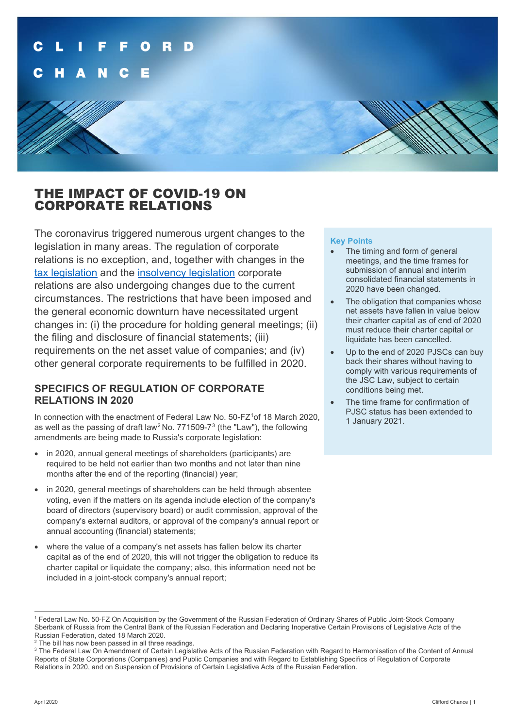

# THE IMPACT OF COVID-19 ON CORPORATE RELATIONS

The coronavirus triggered numerous urgent changes to the legislation in many areas. The regulation of corporate relations is no exception, and, together with changes in the [tax legislation](https://www.cliffordchance.com/briefings/2020/03/russian-president-announces-russia-s-anti-covid-19-action-plan-.html) and the [insolvency legislation](https://www.cliffordchance.com/briefings/2020/03/russian-parliament-approves-changes-to-legislation-setting-out-t.html) corporate relations are also undergoing changes due to the current circumstances. The restrictions that have been imposed and the general economic downturn have necessitated urgent changes in: (i) the procedure for holding general meetings; (ii) the filing and disclosure of financial statements; (iii) requirements on the net asset value of companies; and (iv) other general corporate requirements to be fulfilled in 2020.

## **SPECIFICS OF REGULATION OF CORPORATE RELATIONS IN 2020**

In connection with the enactment of Federal Law No.  $50$ -FZ<sup>[1](#page-0-0)</sup>of 18 March 2020, as well as the passing of draft law<sup>[2](#page-0-1)</sup> No. 771509-7<sup>[3](#page-0-2)</sup> (the "Law"), the following amendments are being made to Russia's corporate legislation:

- in 2020, annual general meetings of shareholders (participants) are required to be held not earlier than two months and not later than nine months after the end of the reporting (financial) year;
- in 2020, general meetings of shareholders can be held through absentee voting, even if the matters on its agenda include election of the company's board of directors (supervisory board) or audit commission, approval of the company's external auditors, or approval of the company's annual report or annual accounting (financial) statements;
- where the value of a company's net assets has fallen below its charter capital as of the end of 2020, this will not trigger the obligation to reduce its charter capital or liquidate the company; also, this information need not be included in a joint-stock company's annual report;

### **Key Points**

- The timing and form of general meetings, and the time frames for submission of annual and interim consolidated financial statements in 2020 have been changed.
- The obligation that companies whose net assets have fallen in value below their charter capital as of end of 2020 must reduce their charter capital or liquidate has been cancelled.
- Up to the end of 2020 PJSCs can buy back their shares without having to comply with various requirements of the JSC Law, subject to certain conditions being met.
- The time frame for confirmation of PJSC status has been extended to 1 January 2021.

<span id="page-0-0"></span><sup>1</sup> Federal Law No. 50-FZ On Acquisition by the Government of the Russian Federation of Ordinary Shares of Public Joint-Stock Company Sberbank of Russia from the Central Bank of the Russian Federation and Declaring Inoperative Certain Provisions of Legislative Acts of the Russian Federation, dated 18 March 2020.

<span id="page-0-1"></span> $2$  The bill has now been passed in all three readings.

<span id="page-0-2"></span><sup>&</sup>lt;sup>3</sup> The Federal Law On Amendment of Certain Legislative Acts of the Russian Federation with Regard to Harmonisation of the Content of Annual Reports of State Corporations (Companies) and Public Companies and with Regard to Establishing Specifics of Regulation of Corporate Relations in 2020, and on Suspension of Provisions of Certain Legislative Acts of the Russian Federation.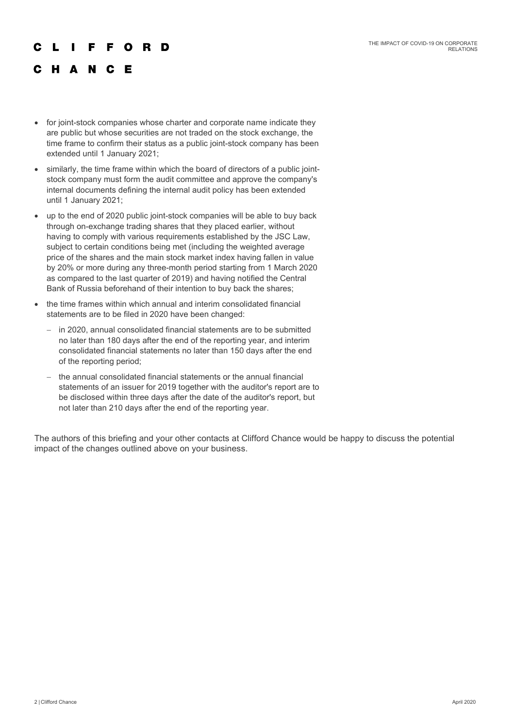#### F F O R D

## C H A N C E

- for joint-stock companies whose charter and corporate name indicate they are public but whose securities are not traded on the stock exchange, the time frame to confirm their status as a public joint-stock company has been extended until 1 January 2021;
- similarly, the time frame within which the board of directors of a public jointstock company must form the audit committee and approve the company's internal documents defining the internal audit policy has been extended until 1 January 2021;
- up to the end of 2020 public joint-stock companies will be able to buy back through on-exchange trading shares that they placed earlier, without having to comply with various requirements established by the JSC Law, subject to certain conditions being met (including the weighted average price of the shares and the main stock market index having fallen in value by 20% or more during any three-month period starting from 1 March 2020 as compared to the last quarter of 2019) and having notified the Central Bank of Russia beforehand of their intention to buy back the shares;
- the time frames within which annual and interim consolidated financial statements are to be filed in 2020 have been changed:
	- − in 2020, annual consolidated financial statements are to be submitted no later than 180 days after the end of the reporting year, and interim consolidated financial statements no later than 150 days after the end of the reporting period;
	- the annual consolidated financial statements or the annual financial statements of an issuer for 2019 together with the auditor's report are to be disclosed within three days after the date of the auditor's report, but not later than 210 days after the end of the reporting year.

The authors of this briefing and your other contacts at Clifford Chance would be happy to discuss the potential impact of the changes outlined above on your business.